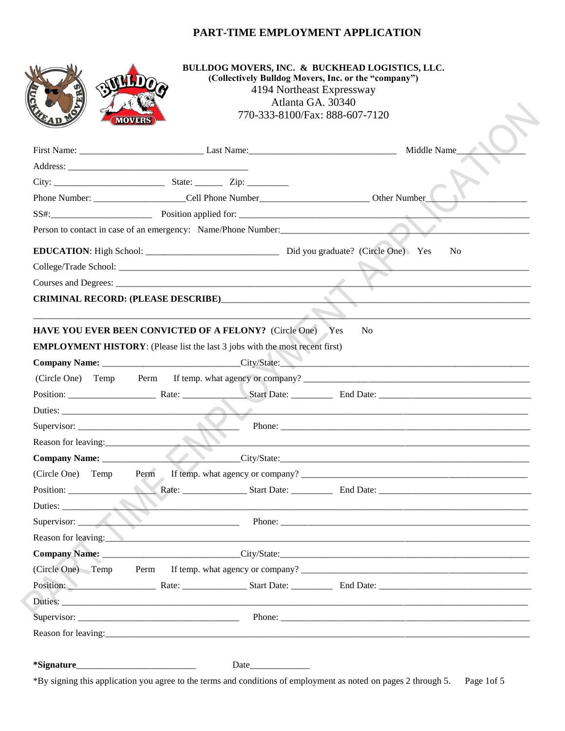## **PART-TIME EMPLOYMENT APPLICATION**



\*By signing this application you agree to the terms and conditions of employment as noted on pages 2 through 5. Page 1of 5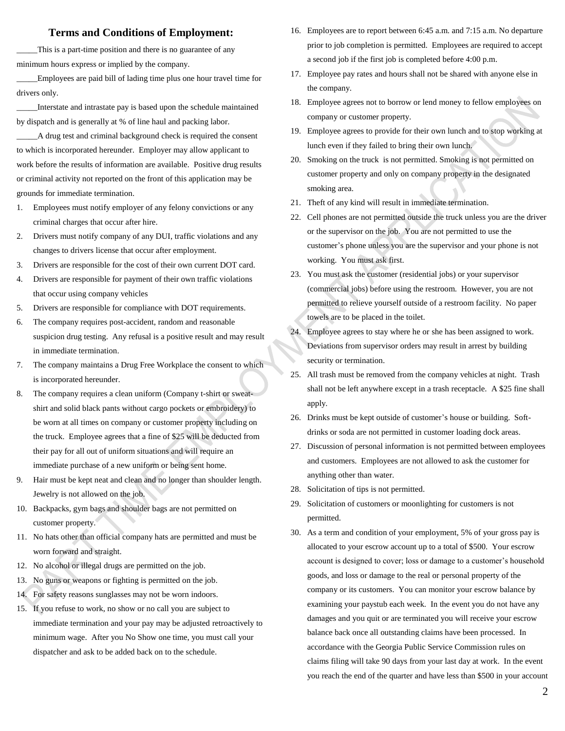## **Terms and Conditions of Employment:**

\_\_\_\_\_This is a part-time position and there is no guarantee of any minimum hours express or implied by the company.

\_\_\_\_\_Employees are paid bill of lading time plus one hour travel time for drivers only.

\_\_\_\_\_Interstate and intrastate pay is based upon the schedule maintained by dispatch and is generally at % of line haul and packing labor.

\_\_\_\_\_A drug test and criminal background check is required the consent to which is incorporated hereunder. Employer may allow applicant to work before the results of information are available. Positive drug results or criminal activity not reported on the front of this application may be grounds for immediate termination.

- 1. Employees must notify employer of any felony convictions or any criminal charges that occur after hire.
- 2. Drivers must notify company of any DUI, traffic violations and any changes to drivers license that occur after employment.
- 3. Drivers are responsible for the cost of their own current DOT card.
- 4. Drivers are responsible for payment of their own traffic violations that occur using company vehicles
- 5. Drivers are responsible for compliance with DOT requirements.
- 6. The company requires post-accident, random and reasonable suspicion drug testing. Any refusal is a positive result and may result in immediate termination.
- 7. The company maintains a Drug Free Workplace the consent to which is incorporated hereunder.
- 8. The company requires a clean uniform (Company t-shirt or sweatshirt and solid black pants without cargo pockets or embroidery) to be worn at all times on company or customer property including on the truck. Employee agrees that a fine of \$25 will be deducted from their pay for all out of uniform situations and will require an immediate purchase of a new uniform or being sent home.
- 9. Hair must be kept neat and clean and no longer than shoulder length. Jewelry is not allowed on the job.
- 10. Backpacks, gym bags and shoulder bags are not permitted on customer property.
- 11. No hats other than official company hats are permitted and must be worn forward and straight.
- 12. No alcohol or illegal drugs are permitted on the job.
- 13. No guns or weapons or fighting is permitted on the job.
- 14. For safety reasons sunglasses may not be worn indoors.
- 15. If you refuse to work, no show or no call you are subject to immediate termination and your pay may be adjusted retroactively to minimum wage. After you No Show one time, you must call your dispatcher and ask to be added back on to the schedule.
- 16. Employees are to report between 6:45 a.m. and 7:15 a.m. No departure prior to job completion is permitted. Employees are required to accept a second job if the first job is completed before 4:00 p.m.
- 17. Employee pay rates and hours shall not be shared with anyone else in the company.
- 18. Employee agrees not to borrow or lend money to fellow employees on company or customer property.
- 19. Employee agrees to provide for their own lunch and to stop working at lunch even if they failed to bring their own lunch.
- 20. Smoking on the truck is not permitted. Smoking is not permitted on customer property and only on company property in the designated smoking area.
- 21. Theft of any kind will result in immediate termination.
- 22. Cell phones are not permitted outside the truck unless you are the driver or the supervisor on the job. You are not permitted to use the customer's phone unless you are the supervisor and your phone is not working. You must ask first.
- 23. You must ask the customer (residential jobs) or your supervisor (commercial jobs) before using the restroom. However, you are not permitted to relieve yourself outside of a restroom facility. No paper towels are to be placed in the toilet.
- 24. Employee agrees to stay where he or she has been assigned to work. Deviations from supervisor orders may result in arrest by building security or termination.
- 25. All trash must be removed from the company vehicles at night. Trash shall not be left anywhere except in a trash receptacle. A \$25 fine shall apply.
- 26. Drinks must be kept outside of customer's house or building. Softdrinks or soda are not permitted in customer loading dock areas.
- 27. Discussion of personal information is not permitted between employees and customers. Employees are not allowed to ask the customer for anything other than water.
- Solicitation of tips is not permitted.
- 29. Solicitation of customers or moonlighting for customers is not permitted.
- 30. As a term and condition of your employment, 5% of your gross pay is allocated to your escrow account up to a total of \$500. Your escrow account is designed to cover; loss or damage to a customer's household goods, and loss or damage to the real or personal property of the company or its customers. You can monitor your escrow balance by examining your paystub each week. In the event you do not have any damages and you quit or are terminated you will receive your escrow balance back once all outstanding claims have been processed. In accordance with the Georgia Public Service Commission rules on claims filing will take 90 days from your last day at work. In the event you reach the end of the quarter and have less than \$500 in your account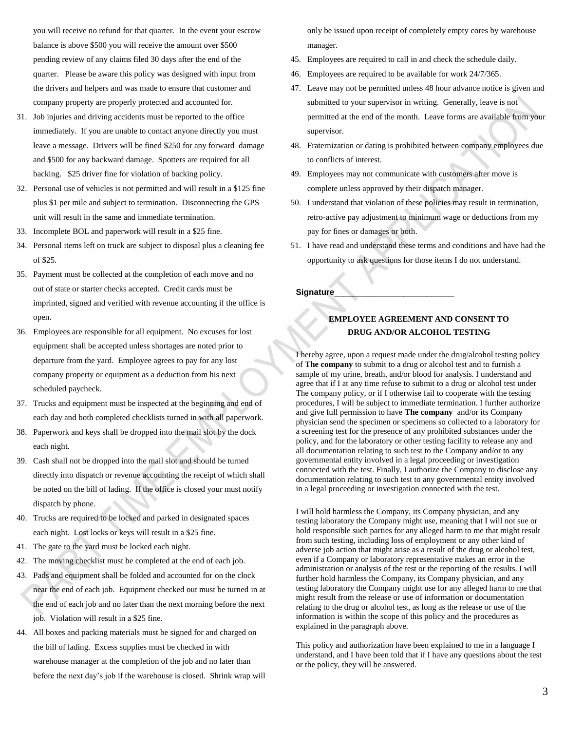you will receive no refund for that quarter. In the event your escrow balance is above \$500 you will receive the amount over \$500 pending review of any claims filed 30 days after the end of the quarter. Please be aware this policy was designed with input from the drivers and helpers and was made to ensure that customer and company property are properly protected and accounted for.

- 31. Job injuries and driving accidents must be reported to the office immediately. If you are unable to contact anyone directly you must leave a message. Drivers will be fined \$250 for any forward damage and \$500 for any backward damage. Spotters are required for all backing. \$25 driver fine for violation of backing policy.
- 32. Personal use of vehicles is not permitted and will result in a \$125 fine plus \$1 per mile and subject to termination. Disconnecting the GPS unit will result in the same and immediate termination.
- 33. Incomplete BOL and paperwork will result in a \$25 fine.
- 34. Personal items left on truck are subject to disposal plus a cleaning fee of \$25.
- 35. Payment must be collected at the completion of each move and no out of state or starter checks accepted. Credit cards must be imprinted, signed and verified with revenue accounting if the office is open.
- 36. Employees are responsible for all equipment. No excuses for lost equipment shall be accepted unless shortages are noted prior to departure from the yard. Employee agrees to pay for any lost company property or equipment as a deduction from his next scheduled paycheck.
- 37. Trucks and equipment must be inspected at the beginning and end of each day and both completed checklists turned in with all paperwork.
- 38. Paperwork and keys shall be dropped into the mail slot by the dock each night.
- 39. Cash shall not be dropped into the mail slot and should be turned directly into dispatch or revenue accounting the receipt of which shall be noted on the bill of lading. If the office is closed your must notify dispatch by phone.
- 40. Trucks are required to be locked and parked in designated spaces each night. Lost locks or keys will result in a \$25 fine.
- 41. The gate to the yard must be locked each night.
- 42. The moving checklist must be completed at the end of each job.
- 43. Pads and equipment shall be folded and accounted for on the clock near the end of each job. Equipment checked out must be turned in at the end of each job and no later than the next morning before the next job. Violation will result in a \$25 fine.
- 44. All boxes and packing materials must be signed for and charged on the bill of lading. Excess supplies must be checked in with warehouse manager at the completion of the job and no later than before the next day's job if the warehouse is closed. Shrink wrap will

only be issued upon receipt of completely empty cores by warehouse manager.

- 45. Employees are required to call in and check the schedule daily.
- 46. Employees are required to be available for work 24/7/365.
- 47. Leave may not be permitted unless 48 hour advance notice is given and submitted to your supervisor in writing. Generally, leave is not permitted at the end of the month. Leave forms are available from your supervisor.
- 48. Fraternization or dating is prohibited between company employees due to conflicts of interest.
- 49. Employees may not communicate with customers after move is complete unless approved by their dispatch manager.
- 50. I understand that violation of these policies may result in termination, retro-active pay adjustment to minimum wage or deductions from my pay for fines or damages or both.
- 51. I have read and understand these terms and conditions and have had the opportunity to ask questions for those items I do not understand.

#### **Signature**\_\_\_\_\_\_\_\_\_\_\_\_\_\_\_\_\_\_\_\_\_\_\_\_\_\_

## **EMPLOYEE AGREEMENT AND CONSENT TO DRUG AND/OR ALCOHOL TESTING**

I hereby agree, upon a request made under the drug/alcohol testing policy of **The company** to submit to a drug or alcohol test and to furnish a sample of my urine, breath, and/or blood for analysis. I understand and agree that if I at any time refuse to submit to a drug or alcohol test under The company policy, or if I otherwise fail to cooperate with the testing procedures, I will be subject to immediate termination. I further authorize and give full permission to have **The company** and/or its Company physician send the specimen or specimens so collected to a laboratory for a screening test for the presence of any prohibited substances under the policy, and for the laboratory or other testing facility to release any and all documentation relating to such test to the Company and/or to any governmental entity involved in a legal proceeding or investigation connected with the test. Finally, I authorize the Company to disclose any documentation relating to such test to any governmental entity involved in a legal proceeding or investigation connected with the test.

I will hold harmless the Company, its Company physician, and any testing laboratory the Company might use, meaning that I will not sue or hold responsible such parties for any alleged harm to me that might result from such testing, including loss of employment or any other kind of adverse job action that might arise as a result of the drug or alcohol test, even if a Company or laboratory representative makes an error in the administration or analysis of the test or the reporting of the results. I will further hold harmless the Company, its Company physician, and any testing laboratory the Company might use for any alleged harm to me that might result from the release or use of information or documentation relating to the drug or alcohol test, as long as the release or use of the information is within the scope of this policy and the procedures as explained in the paragraph above.

This policy and authorization have been explained to me in a language I understand, and I have been told that if I have any questions about the test or the policy, they will be answered.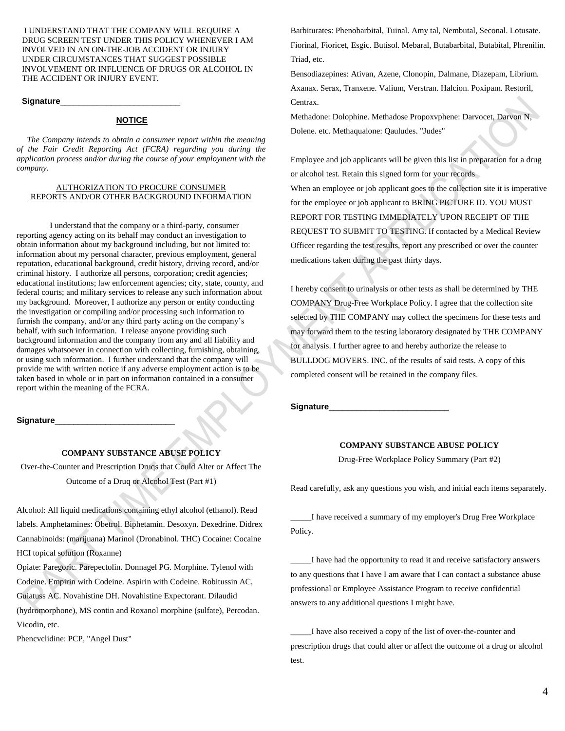I UNDERSTAND THAT THE COMPANY WILL REQUIRE A DRUG SCREEN TEST UNDER THIS POLICY WHENEVER I AM INVOLVED IN AN ON-THE-JOB ACCIDENT OR INJURY UNDER CIRCUMSTANCES THAT SUGGEST POSSIBLE INVOLVEMENT OR INFLUENCE OF DRUGS OR ALCOHOL IN THE ACCIDENT OR INJURY EVENT.

### **Signature**\_\_\_\_\_\_\_\_\_\_\_\_\_\_\_\_\_\_\_\_\_\_\_\_\_\_

#### **NOTICE**

 *The Company intends to obtain a consumer report within the meaning of the Fair Credit Reporting Act (FCRA) regarding you during the application process and/or during the course of your employment with the company.*

#### AUTHORIZATION TO PROCURE CONSUMER REPORTS AND/OR OTHER BACKGROUND INFORMATION

I understand that the company or a third-party, consumer reporting agency acting on its behalf may conduct an investigation to obtain information about my background including, but not limited to: information about my personal character, previous employment, general reputation, educational background, credit history, driving record, and/or criminal history. I authorize all persons, corporation; credit agencies; educational institutions; law enforcement agencies; city, state, county, and federal courts; and military services to release any such information about my background. Moreover, I authorize any person or entity conducting the investigation or compiling and/or processing such information to furnish the company, and/or any third party acting on the company's behalf, with such information. I release anyone providing such background information and the company from any and all liability and damages whatsoever in connection with collecting, furnishing, obtaining, or using such information. I further understand that the company will provide me with written notice if any adverse employment action is to be taken based in whole or in part on information contained in a consumer report within the meaning of the FCRA.

**Signature**\_\_\_\_\_\_\_\_\_\_\_\_\_\_\_\_\_\_\_\_\_\_\_\_\_\_

#### **COMPANY SUBSTANCE ABUSE POLICY**

Over-the-Counter and Prescription Druqs that Could Alter or Affect The Outcome of a Druq or Alcohol Test (Part #1)

Alcohol: All liquid medications containing ethyl alcohol (ethanol). Read labels. Amphetamines: Obetrol. Biphetamin. Desoxyn. Dexedrine. Didrex Cannabinoids: (marijuana) Marinol (Dronabinol. THC) Cocaine: Cocaine HCI topical solution (Roxanne)

Opiate: Paregoric. Parepectolin. Donnagel PG. Morphine. Tylenol with Codeine. Empirin with Codeine. Aspirin with Codeine. Robitussin AC, Guiatuss AC. Novahistine DH. Novahistine Expectorant. Dilaudid

(hydromorphone), MS contin and Roxanol morphine (sulfate), Percodan. Vicodin, etc.

Phencvclidine: PCP, "Angel Dust"

Barbiturates: Phenobarbital, Tuinal. Amy tal, Nembutal, Seconal. Lotusate. Fiorinal, Fioricet, Esgic. Butisol. Mebaral, Butabarbital, Butabital, Phrenilin. Triad, etc.

Bensodiazepines: Ativan, Azene, Clonopin, Dalmane, Diazepam, Librium. Axanax. Serax, Tranxene. Valium, Verstran. Halcion. Poxipam. Restoril, Centrax.

Methadone: Dolophine. Methadose Propoxvphene: Darvocet, Darvon N, Dolene. etc. Methaqualone: Qauludes. "Judes"

Employee and job applicants will be given this list in preparation for a drug or alcohol test. Retain this signed form for your records

When an employee or job applicant goes to the collection site it is imperative for the employee or job applicant to BRING PICTURE ID. YOU MUST REPORT FOR TESTING IMMEDIATELY UPON RECEIPT OF THE REQUEST TO SUBMIT TO TESTING. If contacted by a Medical Review Officer regarding the test results, report any prescribed or over the counter medications taken during the past thirty days.

I hereby consent to urinalysis or other tests as shall be determined by THE COMPANY Drug-Free Workplace Policy. I agree that the collection site selected by THE COMPANY may collect the specimens for these tests and may forward them to the testing laboratory designated by THE COMPANY for analysis. I further agree to and hereby authorize the release to BULLDOG MOVERS. INC. of the results of said tests. A copy of this completed consent will be retained in the company files.

**Signature**\_\_\_\_\_\_\_\_\_\_\_\_\_\_\_\_\_\_\_\_\_\_\_\_\_\_

#### **COMPANY SUBSTANCE ABUSE POLICY**

Drug-Free Workplace Policy Summary (Part #2)

Read carefully, ask any questions you wish, and initial each items separately.

\_\_\_\_\_I have received a summary of my employer's Drug Free Workplace Policy.

\_\_\_\_\_I have had the opportunity to read it and receive satisfactory answers to any questions that I have I am aware that I can contact a substance abuse professional or Employee Assistance Program to receive confidential answers to any additional questions I might have.

I have also received a copy of the list of over-the-counter and prescription drugs that could alter or affect the outcome of a drug or alcohol test.